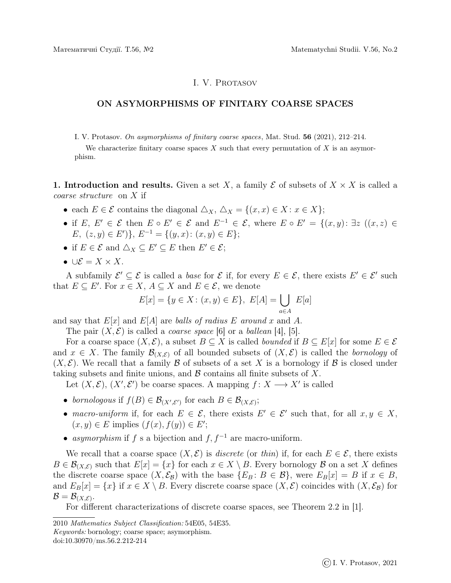## I. V. Protasov

## ON ASYMORPHISMS OF FINITARY COARSE SPACES

I. V. Protasov. On asymorphisms of finitary coarse spaces, Mat. Stud. 56 (2021), 212–214.

We characterize finitary coarse spaces  $X$  such that every permutation of  $X$  is an asymorphism.

1. Introduction and results. Given a set X, a family  $\mathcal E$  of subsets of  $X \times X$  is called a coarse structure on X if

- each  $E \in \mathcal{E}$  contains the diagonal  $\Delta_X$ ,  $\Delta_X = \{(x, x) \in X : x \in X\};$
- if  $E, E' \in \mathcal{E}$  then  $E \circ E' \in \mathcal{E}$  and  $E^{-1} \in \mathcal{E}$ , where  $E \circ E' = \{(x, y) : \exists z \ ((x, z) \in$  $E, (z, y) \in E'$ },  $E^{-1} = \{(y, x): (x, y) \in E\};$
- if  $E \in \mathcal{E}$  and  $\triangle_X \subseteq E' \subseteq E$  then  $E' \in \mathcal{E}$ ;
- ∪ $\mathcal{E} = X \times X$ .

A subfamily  $\mathcal{E}' \subseteq \mathcal{E}$  is called a *base* for  $\mathcal{E}$  if, for every  $E \in \mathcal{E}$ , there exists  $E' \in \mathcal{E}'$  such that  $E \subseteq E'$ . For  $x \in X$ ,  $A \subseteq X$  and  $E \in \mathcal{E}$ , we denote

$$
E[x] = \{ y \in X : (x, y) \in E \}, E[A] = \bigcup_{a \in A} E[a]
$$

and say that  $E[x]$  and  $E[A]$  are balls of radius E around x and A.

The pair  $(X, \mathcal{E})$  is called a *coarse space* [6] or a *ballean* [4], [5].

For a coarse space  $(X, \mathcal{E})$ , a subset  $B \subseteq X$  is called *bounded* if  $B \subseteq E[x]$  for some  $E \in \mathcal{E}$ and  $x \in X$ . The family  $\mathcal{B}_{(X,\mathcal{E})}$  of all bounded subsets of  $(X,\mathcal{E})$  is called the *bornology* of  $(X, \mathcal{E})$ . We recall that a family  $\mathcal B$  of subsets of a set X is a bornology if  $\mathcal B$  is closed under taking subsets and finite unions, and  $\beta$  contains all finite subsets of X.

Let  $(X, \mathcal{E}), (X', \mathcal{E}')$  be coarse spaces. A mapping  $f : X \longrightarrow X'$  is called

- bornologous if  $f(B) \in \mathcal{B}_{(X',\mathcal{E}')}$  for each  $B \in \mathcal{B}_{(X,\mathcal{E})}$ ;
- macro-uniform if, for each  $E \in \mathcal{E}$ , there exists  $E' \in \mathcal{E}'$  such that, for all  $x, y \in X$ ,  $(x, y) \in E$  implies  $(f(x), f(y)) \in E'$ ;
- asymorphism if f s a bijection and f,  $f^{-1}$  are macro-uniform.

We recall that a coarse space  $(X, \mathcal{E})$  is *discrete* (or thin) if, for each  $E \in \mathcal{E}$ , there exists  $B \in \mathcal{B}_{(X,\mathcal{E})}$  such that  $E[x] = \{x\}$  for each  $x \in X \setminus B$ . Every bornology  $\mathcal B$  on a set X defines the discrete coarse space  $(X, \mathcal{E}_{\mathcal{B}})$  with the base  $\{E_B : B \in \mathcal{B}\}\$ , were  $E_B[x] = B$  if  $x \in B$ , and  $E_B[x] = \{x\}$  if  $x \in X \setminus B$ . Every discrete coarse space  $(X, \mathcal{E})$  coincides with  $(X, \mathcal{E}_B)$  for  $\mathcal{B}=\mathcal{B}_{(X,\mathcal{E})}.$ 

For different characterizations of discrete coarse spaces, see Theorem 2.2 in [1].

<sup>2010</sup> Mathematics Subject Classification: 54E05, 54E35. Keywords: bornology; coarse space; asymorphism. doi:10.30970/ms.56.2.212-214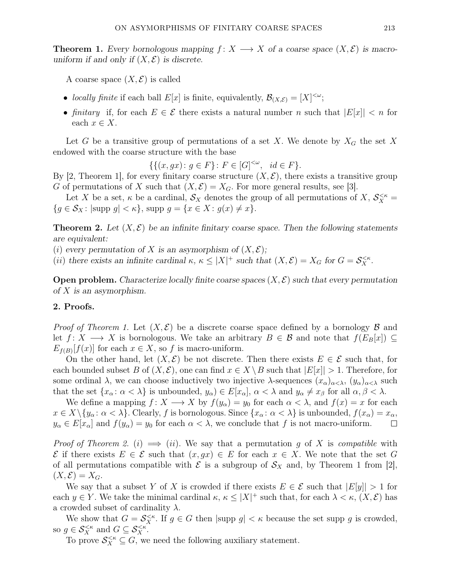**Theorem 1.** Every bornologous mapping  $f: X \longrightarrow X$  of a coarse space  $(X, \mathcal{E})$  is macrouniform if and only if  $(X, \mathcal{E})$  is discrete.

A coarse space  $(X, \mathcal{E})$  is called

- locally finite if each ball  $E[x]$  is finite, equivalently,  $\mathcal{B}_{(X,\mathcal{E})} = [X]^{<\omega}$ ;
- finitary if, for each  $E \in \mathcal{E}$  there exists a natural number n such that  $|E[x]| < n$  for each  $x \in X$ .

Let G be a transitive group of permutations of a set X. We denote by  $X_G$  the set X endowed with the coarse structure with the base

 $\{\{(x, gx) : g \in F\} : F \in [G]^{<\omega}, \ \ id \in F\}.$ 

By [2, Theorem 1], for every finitary coarse structure  $(X, \mathcal{E})$ , there exists a transitive group G of permutations of X such that  $(X, \mathcal{E}) = X_G$ . For more general results, see [3].

Let X be a set,  $\kappa$  be a cardinal,  $\mathcal{S}_X$  denotes the group of all permutations of  $X, \mathcal{S}_X^{\leq \kappa}$  ${g \in \mathcal{S}_X : |\text{supp } g| < \kappa}, \text{supp } g = {x \in X : g(x) \neq x}.$ 

**Theorem 2.** Let  $(X, \mathcal{E})$  be an infinite finitary coarse space. Then the following statements are equivalent:

(i) every permutation of X is an asymorphism of  $(X, \mathcal{E});$ 

(*ii*) there exists an infinite cardinal  $\kappa, \ \kappa \leq |X|^+$  such that  $(X, \mathcal{E}) = X_G$  for  $G = \mathcal{S}_X^{\leq \kappa}$ .

**Open problem.** Characterize locally finite coarse spaces  $(X, \mathcal{E})$  such that every permutation of  $X$  is an asymorphism.

## 2. Proofs.

*Proof of Theorem 1.* Let  $(X, \mathcal{E})$  be a discrete coarse space defined by a bornology  $\mathcal B$  and let  $f: X \longrightarrow X$  is bornologous. We take an arbitrary  $B \in \mathcal{B}$  and note that  $f(E_B[x]) \subseteq$  $E_{f(B)}[f(x)]$  for each  $x \in X$ , so f is macro-uniform.

On the other hand, let  $(X, \mathcal{E})$  be not discrete. Then there exists  $E \in \mathcal{E}$  such that, for each bounded subset B of  $(X, \mathcal{E})$ , one can find  $x \in X \setminus B$  such that  $|E[x]| > 1$ . Therefore, for some ordinal  $\lambda$ , we can choose inductively two injective  $\lambda$ -sequences  $(x_{\alpha})_{\alpha<\lambda}$ ,  $(y_{\alpha})_{\alpha<\lambda}$  such that the set  $\{x_\alpha : \alpha < \lambda\}$  is unbounded,  $y_\alpha \in E[x_\alpha], \alpha < \lambda$  and  $y_\alpha \neq x_\beta$  for all  $\alpha, \beta < \lambda$ .

We define a mapping  $f: X \longrightarrow X$  by  $f(y_\alpha) = y_0$  for each  $\alpha < \lambda$ , and  $f(x) = x$  for each  $x \in X \setminus \{y_\alpha : \alpha < \lambda\}.$  Clearly, f is bornologous. Since  $\{x_\alpha : \alpha < \lambda\}$  is unbounded,  $f(x_\alpha) = x_\alpha$ ,  $y_{\alpha} \in E[x_{\alpha}]$  and  $f(y_{\alpha}) = y_0$  for each  $\alpha < \lambda$ , we conclude that f is not macro-uniform.  $\Box$ 

*Proof of Theorem 2.* (i)  $\implies$  (ii). We say that a permutation g of X is compatible with  $\mathcal E$  if there exists  $E \in \mathcal E$  such that  $(x, gx) \in E$  for each  $x \in X$ . We note that the set G of all permutations compatible with  $\mathcal E$  is a subgroup of  $\mathcal S_X$  and, by Theorem 1 from [2],  $(X, \mathcal{E}) = X_G.$ 

We say that a subset Y of X is crowded if there exists  $E \in \mathcal{E}$  such that  $|E[y]| > 1$  for each  $y \in Y$ . We take the minimal cardinal  $\kappa, \kappa \leq |X|^+$  such that, for each  $\lambda < \kappa, (X, \mathcal{E})$  has a crowded subset of cardinality  $\lambda$ .

We show that  $G = \mathcal{S}_X^{\leq \kappa}$ . If  $g \in G$  then  $|\text{supp } g| < \kappa$  because the set supp g is crowded, so  $g \in \mathcal{S}_X^{\leq \kappa}$  and  $G \subseteq \mathcal{S}_X^{\leq \kappa}$ .

To prove  $\mathcal{S}_X^{\leq \kappa} \subseteq G$ , we need the following auxiliary statement.